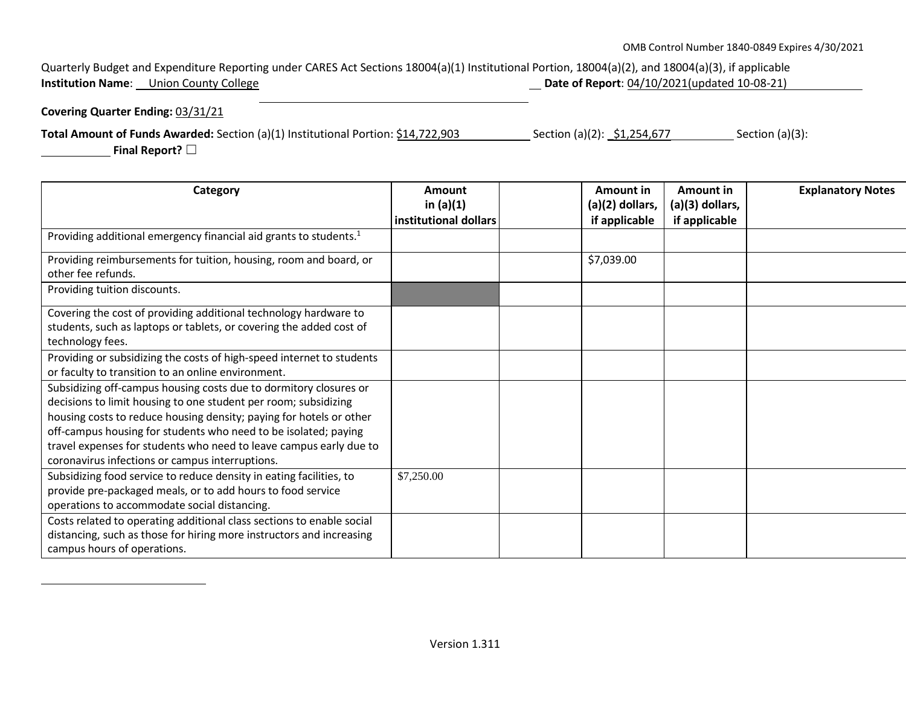## Quarterly Budget and Expenditure Reporting under CARES Act Sections 18004(a)(1) Institutional Portion, 18004(a)(2), and 18004(a)(3), if applicable<br>**Institution Name**: Union County College **Institution Concider Control Control Control Control Control Control Control Control Control Control Control Control Control Control Control Control Control Control Control Control Control Control Control Control Control**

## **Covering Quarter Ending:** 03/31/21

**Total Amount of Funds Awarded:** Section (a)(1) Institutional Portion: \$14,722,903 \_\_\_\_\_\_\_\_\_\_Section (a)(2): \_\$1,254,677 \_\_\_\_\_\_\_\_\_\_\_\_Section (a)(3):

 **Final Report?** ☐

| Category                                                                                                                                                                                                                                                                                                                                                                                                | Amount<br>in $(a)(1)$ | <b>Amount in</b><br>$(a)(2)$ dollars, | Amount in<br>(a)(3) dollars, | <b>Explanatory Notes</b> |
|---------------------------------------------------------------------------------------------------------------------------------------------------------------------------------------------------------------------------------------------------------------------------------------------------------------------------------------------------------------------------------------------------------|-----------------------|---------------------------------------|------------------------------|--------------------------|
|                                                                                                                                                                                                                                                                                                                                                                                                         | institutional dollars | if applicable                         | if applicable                |                          |
| Providing additional emergency financial aid grants to students. <sup>1</sup>                                                                                                                                                                                                                                                                                                                           |                       |                                       |                              |                          |
| Providing reimbursements for tuition, housing, room and board, or<br>other fee refunds.                                                                                                                                                                                                                                                                                                                 |                       | \$7,039.00                            |                              |                          |
| Providing tuition discounts.                                                                                                                                                                                                                                                                                                                                                                            |                       |                                       |                              |                          |
| Covering the cost of providing additional technology hardware to<br>students, such as laptops or tablets, or covering the added cost of<br>technology fees.                                                                                                                                                                                                                                             |                       |                                       |                              |                          |
| Providing or subsidizing the costs of high-speed internet to students<br>or faculty to transition to an online environment.                                                                                                                                                                                                                                                                             |                       |                                       |                              |                          |
| Subsidizing off-campus housing costs due to dormitory closures or<br>decisions to limit housing to one student per room; subsidizing<br>housing costs to reduce housing density; paying for hotels or other<br>off-campus housing for students who need to be isolated; paying<br>travel expenses for students who need to leave campus early due to<br>coronavirus infections or campus interruptions. |                       |                                       |                              |                          |
| Subsidizing food service to reduce density in eating facilities, to<br>provide pre-packaged meals, or to add hours to food service<br>operations to accommodate social distancing.                                                                                                                                                                                                                      | \$7,250.00            |                                       |                              |                          |
| Costs related to operating additional class sections to enable social<br>distancing, such as those for hiring more instructors and increasing<br>campus hours of operations.                                                                                                                                                                                                                            |                       |                                       |                              |                          |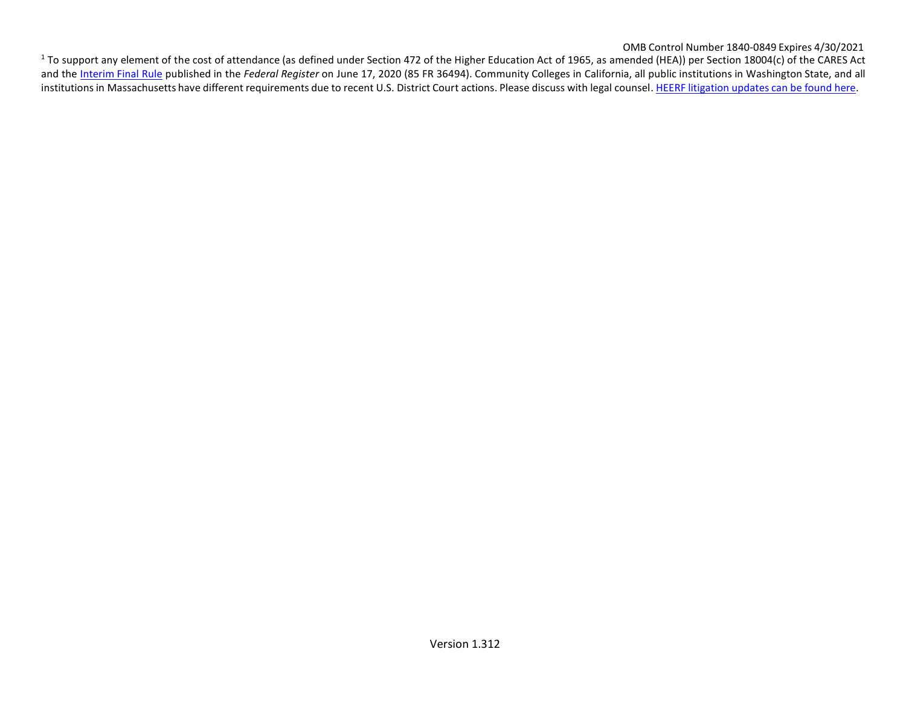OMB Control Number 1840-0849 Expires 4/30/2021

<sup>1</sup> To support any element of the cost of attendance (as defined under Section 472 of the Higher Education Act of 1965, as amended (HEA)) per Section 18004(c) of the CARES Act and the [Interim](https://www.federalregister.gov/documents/2020/06/17/2020-12965/eligibility-of-students-at-institutions-of-higher-education-for-funds-under-the-coronavirus-aid) Final Rule published in the *Federal Register* on June 17, 2020 (85 FR 36494). Community Colleges in California, all public institutions in Washington State, and all institutions in Massachusetts have different requirements due to recent U.S. District Court actions. Please discuss with legal counsel. HEERF [litigation](https://www2.ed.gov/about/offices/list/ope/heerfupdates.html) updates can be found here.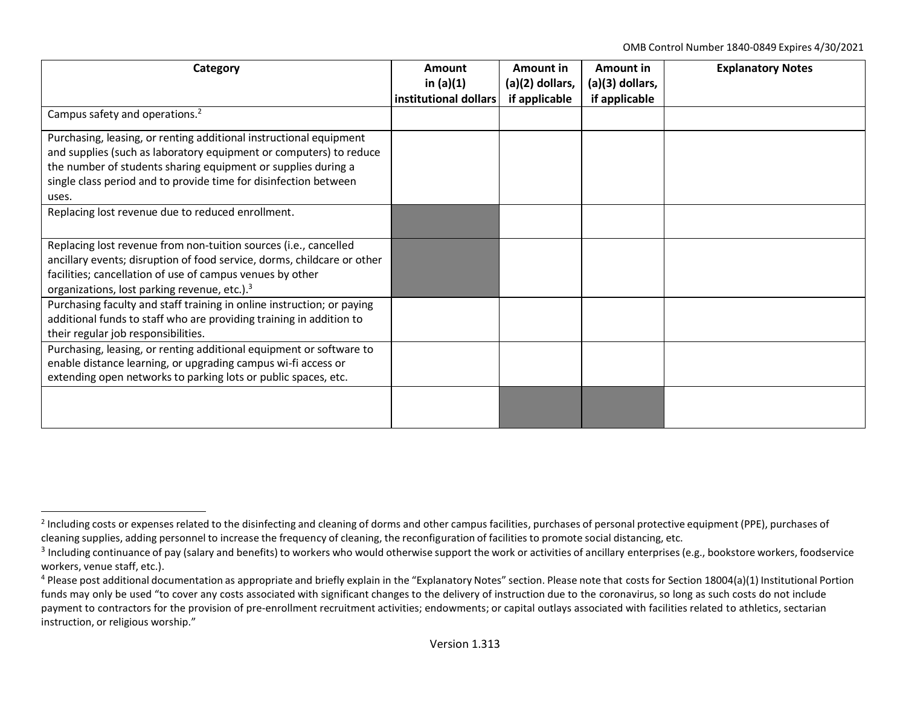OMB Control Number 1840-0849 Expires 4/30/2021

| Category                                                                | Amount<br>in $(a)(1)$ | Amount in<br>(a)(2) dollars, | Amount in<br>(a)(3) dollars, | <b>Explanatory Notes</b> |
|-------------------------------------------------------------------------|-----------------------|------------------------------|------------------------------|--------------------------|
|                                                                         | institutional dollars | if applicable                | if applicable                |                          |
| Campus safety and operations. <sup>2</sup>                              |                       |                              |                              |                          |
| Purchasing, leasing, or renting additional instructional equipment      |                       |                              |                              |                          |
| and supplies (such as laboratory equipment or computers) to reduce      |                       |                              |                              |                          |
| the number of students sharing equipment or supplies during a           |                       |                              |                              |                          |
| single class period and to provide time for disinfection between        |                       |                              |                              |                          |
| uses.                                                                   |                       |                              |                              |                          |
| Replacing lost revenue due to reduced enrollment.                       |                       |                              |                              |                          |
|                                                                         |                       |                              |                              |                          |
| Replacing lost revenue from non-tuition sources (i.e., cancelled        |                       |                              |                              |                          |
| ancillary events; disruption of food service, dorms, childcare or other |                       |                              |                              |                          |
| facilities; cancellation of use of campus venues by other               |                       |                              |                              |                          |
| organizations, lost parking revenue, etc.). <sup>3</sup>                |                       |                              |                              |                          |
| Purchasing faculty and staff training in online instruction; or paying  |                       |                              |                              |                          |
| additional funds to staff who are providing training in addition to     |                       |                              |                              |                          |
| their regular job responsibilities.                                     |                       |                              |                              |                          |
| Purchasing, leasing, or renting additional equipment or software to     |                       |                              |                              |                          |
| enable distance learning, or upgrading campus wi-fi access or           |                       |                              |                              |                          |
| extending open networks to parking lots or public spaces, etc.          |                       |                              |                              |                          |
|                                                                         |                       |                              |                              |                          |
|                                                                         |                       |                              |                              |                          |
|                                                                         |                       |                              |                              |                          |

<sup>&</sup>lt;sup>2</sup> Including costs or expenses related to the disinfecting and cleaning of dorms and other campus facilities, purchases of personal protective equipment (PPE), purchases of cleaning supplies, adding personnel to increase the frequency of cleaning, the reconfiguration of facilities to promote social distancing, etc.

 $^3$  Including continuance of pay (salary and benefits) to workers who would otherwise support the work or activities of ancillary enterprises (e.g., bookstore workers, foodservice workers, venue staff, etc.).

<sup>&</sup>lt;sup>4</sup> Please post additional documentation as appropriate and briefly explain in the "Explanatory Notes" section. Please note that costs for Section 18004(a)(1) Institutional Portion funds may only be used "to cover any costs associated with significant changes to the delivery of instruction due to the coronavirus, so long as such costs do not include payment to contractors for the provision of pre-enrollment recruitment activities; endowments; or capital outlays associated with facilities related to athletics, sectarian instruction, or religious worship."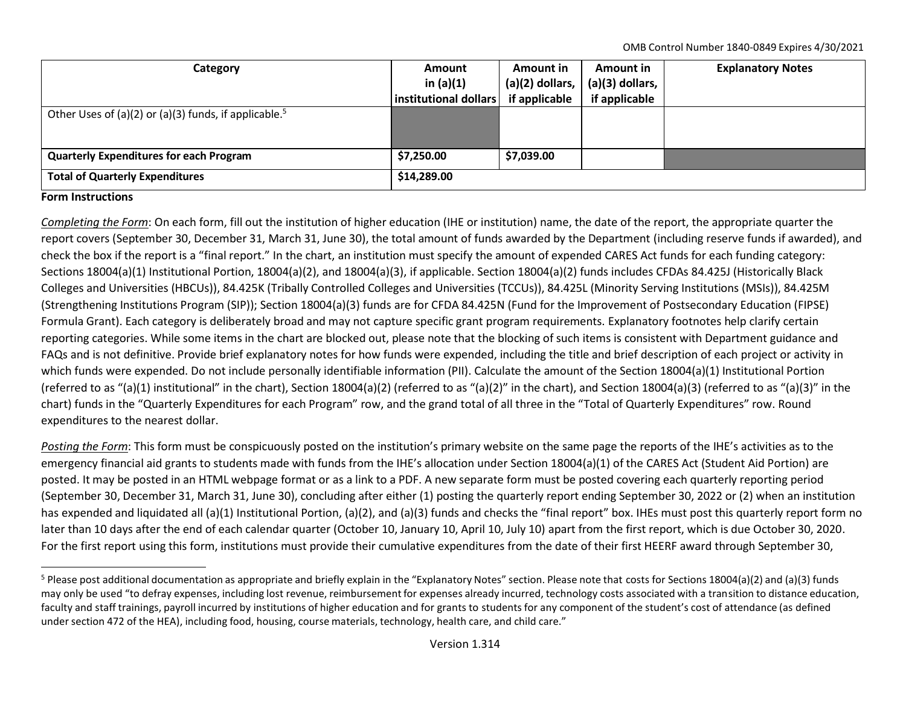OMB Control Number 1840-0849 Expires 4/30/2021

| Category                                                          | <b>Amount</b><br>in $(a)(1)$<br>institutional dollars | Amount in<br>(a)(2) dollars,<br>if applicable | <b>Amount in</b><br>$(a)(3)$ dollars,<br>if applicable | <b>Explanatory Notes</b> |
|-------------------------------------------------------------------|-------------------------------------------------------|-----------------------------------------------|--------------------------------------------------------|--------------------------|
| Other Uses of (a)(2) or (a)(3) funds, if applicable. <sup>5</sup> |                                                       |                                               |                                                        |                          |
| <b>Quarterly Expenditures for each Program</b>                    | \$7,250.00                                            | \$7,039.00                                    |                                                        |                          |
| <b>Total of Quarterly Expenditures</b>                            | \$14,289.00                                           |                                               |                                                        |                          |

## **Form Instructions**

*Completing the Form*: On each form, fill out the institution of higher education (IHE or institution) name, the date of the report, the appropriate quarter the report covers (September 30, December 31, March 31, June 30), the total amount of funds awarded by the Department (including reserve funds if awarded), and check the box if the report is a "final report." In the chart, an institution must specify the amount of expended CARES Act funds for each funding category: Sections 18004(a)(1) Institutional Portion, 18004(a)(2), and 18004(a)(3), if applicable. Section 18004(a)(2) funds includes CFDAs 84.425J (Historically Black Colleges and Universities (HBCUs)), 84.425K (Tribally Controlled Colleges and Universities (TCCUs)), 84.425L (Minority Serving Institutions (MSIs)), 84.425M (Strengthening Institutions Program (SIP)); Section 18004(a)(3) funds are for CFDA 84.425N (Fund for the Improvement of Postsecondary Education (FIPSE) Formula Grant). Each category is deliberately broad and may not capture specific grant program requirements. Explanatory footnotes help clarify certain reporting categories. While some items in the chart are blocked out, please note that the blocking of such items is consistent with Department guidance and FAQs and is not definitive. Provide brief explanatory notes for how funds were expended, including the title and brief description of each project or activity in which funds were expended. Do not include personally identifiable information (PII). Calculate the amount of the Section 18004(a)(1) Institutional Portion (referred to as "(a)(1) institutional" in the chart), Section 18004(a)(2) (referred to as "(a)(2)" in the chart), and Section 18004(a)(3) (referred to as "(a)(3)" in the chart) funds in the "Quarterly Expenditures for each Program" row, and the grand total of all three in the "Total of Quarterly Expenditures" row. Round expenditures to the nearest dollar.

*Posting the Form*: This form must be conspicuously posted on the institution's primary website on the same page the reports of the IHE's activities as to the emergency financial aid grants to students made with funds from the IHE's allocation under Section 18004(a)(1) of the CARES Act (Student Aid Portion) are posted. It may be posted in an HTML webpage format or as a link to a PDF. A new separate form must be posted covering each quarterly reporting period (September 30, December 31, March 31, June 30), concluding after either (1) posting the quarterly report ending September 30, 2022 or (2) when an institution has expended and liquidated all (a)(1) Institutional Portion, (a)(2), and (a)(3) funds and checks the "final report" box. IHEs must post this quarterly report form no later than 10 days after the end of each calendar quarter (October 10, January 10, April 10, July 10) apart from the first report, which is due October 30, 2020. For the first report using this form, institutions must provide their cumulative expenditures from the date of their first HEERF award through September 30,

<sup>&</sup>lt;sup>5</sup> Please post additional documentation as appropriate and briefly explain in the "Explanatory Notes" section. Please note that costs for Sections 18004(a)(2) and (a)(3) funds may only be used "to defray expenses, including lost revenue, reimbursement for expenses already incurred, technology costs associated with a transition to distance education, faculty and staff trainings, payroll incurred by institutions of higher education and for grants to students for any component of the student's cost of attendance (as defined under section 472 of the HEA), including food, housing, course materials, technology, health care, and child care."